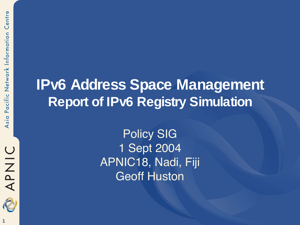

#### **IPv6 Address Space Management Report of IPv6 Registry Simulation**

Policy SIG 1 Sept 2004 APNIC18, Nadi, Fiji Geoff Huston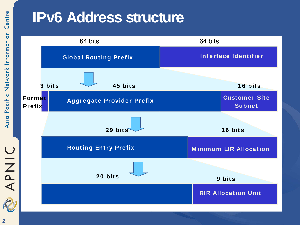#### **IPv6 Address structure**

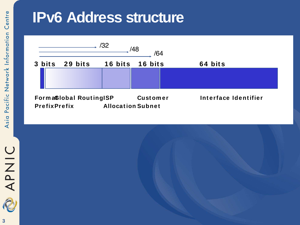#### **IPv6 Address structure**

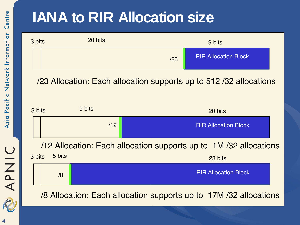#### **IANA to RIR Allocation size**



#### /23 Allocation: Each allocation supports up to 512 /32 allocations

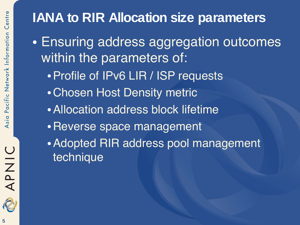#### **IANA to RIR Allocation size parameters**

- Ensuring address aggregation outcomes within the parameters of:
	- •Profile of IPv6 LIR / ISP requests
	- •Chosen Host Density metric
	- •Allocation address block lifetime
	- •Reverse space management
	- •Adopted RIR address pool management technique

APNIC

2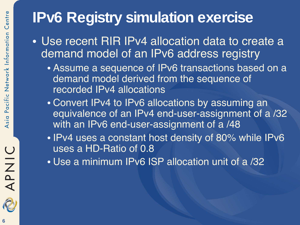#### **IPv6 Registry simulation exercise**

- Use recent RIR IPv4 allocation data to create a demand model of an IPv6 address registry
	- Assume a sequence of IPv6 transactions based on a demand model derived from the sequence of recorded IPv4 allocations
	- Convert IPv4 to IPv6 allocations by assuming an equivalence of an IPv4 end-user-assignment of a /32 with an IPv6 end-user-assignment of a /48
	- IPv4 uses a constant host density of 80% while IPv6 uses a HD-Ratio of 0.8
	- Use a minimum IPv6 ISP allocation unit of a /32

APNIC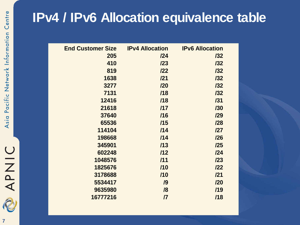#### **IPv4 / IPv6 Allocation equivalence table**

| <b>End Customer Size</b> | <b>IPv4 Allocation</b>      | <b>IPv6 Allocation</b> |
|--------------------------|-----------------------------|------------------------|
| 205                      | 124                         | 132                    |
| 410                      | 123                         | 132                    |
| 819                      | 122                         | 132                    |
| 1638                     | 121                         | 132                    |
| 3277                     | 120                         | 132                    |
| 7131                     | /18                         | 132                    |
| 12416                    | /18                         | /31                    |
| 21618                    | 117                         | /30                    |
| 37640                    | /16                         | 129                    |
| 65536                    | /15                         | 128                    |
| 114104                   | /14                         | 127                    |
| 198668                   | 114                         | 126                    |
| 345901                   | /13                         | 125                    |
| 602248                   | 112                         | 124                    |
| 1048576                  | /11                         | 123                    |
| 1825676                  | 110                         | 122                    |
| 3178688                  | /10                         | 121                    |
| 5534417                  | /9                          | 120                    |
| 9635980                  | /8                          | /19                    |
| 16777216                 | $\boldsymbol{\mathsf{\Pi}}$ | /18                    |
|                          |                             |                        |

OINAP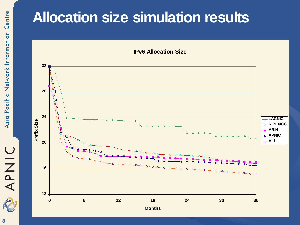## APNIC

#### **Allocation size simulation results**

**IPv6 Allocation Size**



**8**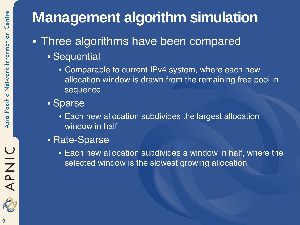### **Management algorithm simulation**

- Three algorithms have been compared
	- Sequential
		- Comparable to current IPv4 system, where each new allocation window is drawn from the remaining free pool in sequence
	- Sparse
		- Each new allocation subdivides the largest allocation window in half
	- Rate-Sparse
		- Each new allocation subdivides a window in half, where the selected window is the slowest growing allocation

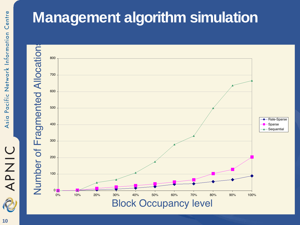# APNIC

#### **Management algorithm simulation**

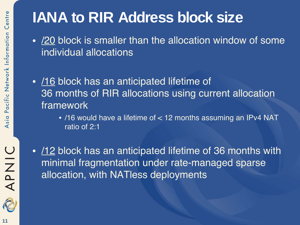#### **IANA to RIR Address block size**

- /20 block is smaller than the allocation window of some individual allocations
- /16 block has an anticipated lifetime of 36 months of RIR allocations using current allocation framework
	- /16 would have a lifetime of < 12 months assuming an IPv4 NAT ratio of 2:1
- 12 block has an anticipated lifetime of 36 months with minimal fragmentation under rate-managed sparse allocation, with NATless deployments

**OINAR**